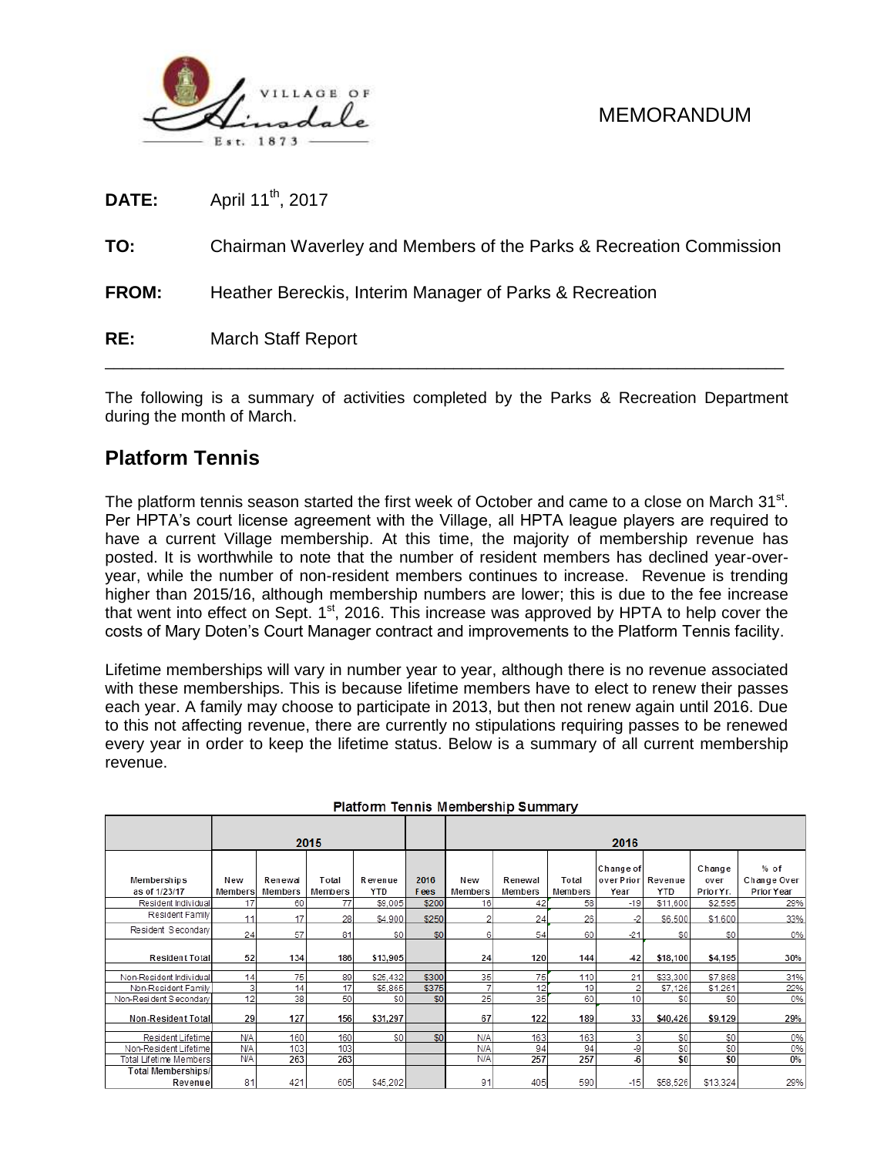

| RE:          | <b>March Staff Report</b>                                          |
|--------------|--------------------------------------------------------------------|
| <b>FROM:</b> | Heather Bereckis, Interim Manager of Parks & Recreation            |
| TO:          | Chairman Waverley and Members of the Parks & Recreation Commission |
| <b>DATE:</b> | April 11 <sup>th</sup> , 2017                                      |

The following is a summary of activities completed by the Parks & Recreation Department during the month of March.

### **Platform Tennis**

The platform tennis season started the first week of October and came to a close on March 31<sup>st</sup>. Per HPTA's court license agreement with the Village, all HPTA league players are required to have a current Village membership. At this time, the majority of membership revenue has posted. It is worthwhile to note that the number of resident members has declined year-overyear, while the number of non-resident members continues to increase. Revenue is trending higher than 2015/16, although membership numbers are lower; this is due to the fee increase that went into effect on Sept.  $1<sup>st</sup>$ , 2016. This increase was approved by HPTA to help cover the costs of Mary Doten's Court Manager contract and improvements to the Platform Tennis facility.

Lifetime memberships will vary in number year to year, although there is no revenue associated with these memberships. This is because lifetime members have to elect to renew their passes each year. A family may choose to participate in 2013, but then not renew again until 2016. Due to this not affecting revenue, there are currently no stipulations requiring passes to be renewed every year in order to keep the lifetime status. Below is a summary of all current membership revenue.

|                               |                |                    | 2015             |                |              | 2016           |                    |                  |                                |                       |                             |                                     |  |  |
|-------------------------------|----------------|--------------------|------------------|----------------|--------------|----------------|--------------------|------------------|--------------------------------|-----------------------|-----------------------------|-------------------------------------|--|--|
| Memberships<br>as of 1/23/17  | New<br>Members | Renewal<br>Members | Total<br>Members | Revenue<br>YTD | 2016<br>Fees | New<br>Members | Renewal<br>Members | Total<br>Members | Change of<br>overPrior<br>Year | Revenue<br><b>YTD</b> | Change<br>over<br>Prior Yr. | $%$ of<br>Change Over<br>Prior Year |  |  |
| Resident Individual           | 17             | 60                 | 77               | \$9,005        | \$200        | 16             | 42                 | 58               | $-19$                          | \$11,600              | \$2,595                     | 29%                                 |  |  |
| Resident Family               | 11             | 17                 | 28               | \$4,900        | \$250        |                | 24                 | 26               | -2                             | \$6,500               | \$1,600                     | 33%                                 |  |  |
| Resident Secondary            | 24             | 57                 | 81               | S <sub>0</sub> | \$0          | 6              | 54                 | 60               | $-21$                          | \$0                   | \$0                         | 0%                                  |  |  |
| <b>Resident Total</b>         | 52             | 134                | 186              | \$13,905       |              | 24             | 120                | 144              | $-42$                          | \$18,100              | \$4,195                     | 30%                                 |  |  |
| Non-Resident Individual       | 14             | 75                 | 89               | \$25.432       | \$300        | 35             | 75                 | 110              | 21                             | \$33,300              | \$7,868                     | 31%                                 |  |  |
| Non-Resident Family           | 3              | 14                 | 17               | \$5,865        | \$375        | 7              | 12                 | 19               |                                | \$7,126               | \$1.261                     | 22%                                 |  |  |
| Non-Resident Secondary        | 12             | 38                 | 50               | \$0            | \$0          | 25             | 35                 | 60               | 10                             | \$0                   | \$0                         | 0%                                  |  |  |
| Non-Resident Total            | 29             | 127                | 156              | \$31,297       |              | 67             | 122                | 189              | 33                             | \$40,426              | \$9,129                     | 29%                                 |  |  |
| Resident Lifetime             | <b>N/A</b>     | 160                | 160              | \$0            | \$0          | N/A            | 163                | 163              |                                | \$0                   | \$0                         | 0%                                  |  |  |
| Non-Resident Lifetime         | <b>N/A</b>     | 103                | 103              |                |              | N/A            | 94                 | 94               | -9                             | \$0                   | \$0                         | 0%                                  |  |  |
| Total Lifetime Members        | <b>N/A</b>     | 263                | 263              |                |              | N/A            | 257                | 257              | 46                             | \$0                   | \$0                         | $0\%$                               |  |  |
| Total Memberships/<br>Revenue | 81             | 421                | 605              | \$45,202       |              | 91             | 405                | 590              | $-15$                          | \$58,526              | \$13,324                    | 29%                                 |  |  |

#### Platform Tennis Membership Summary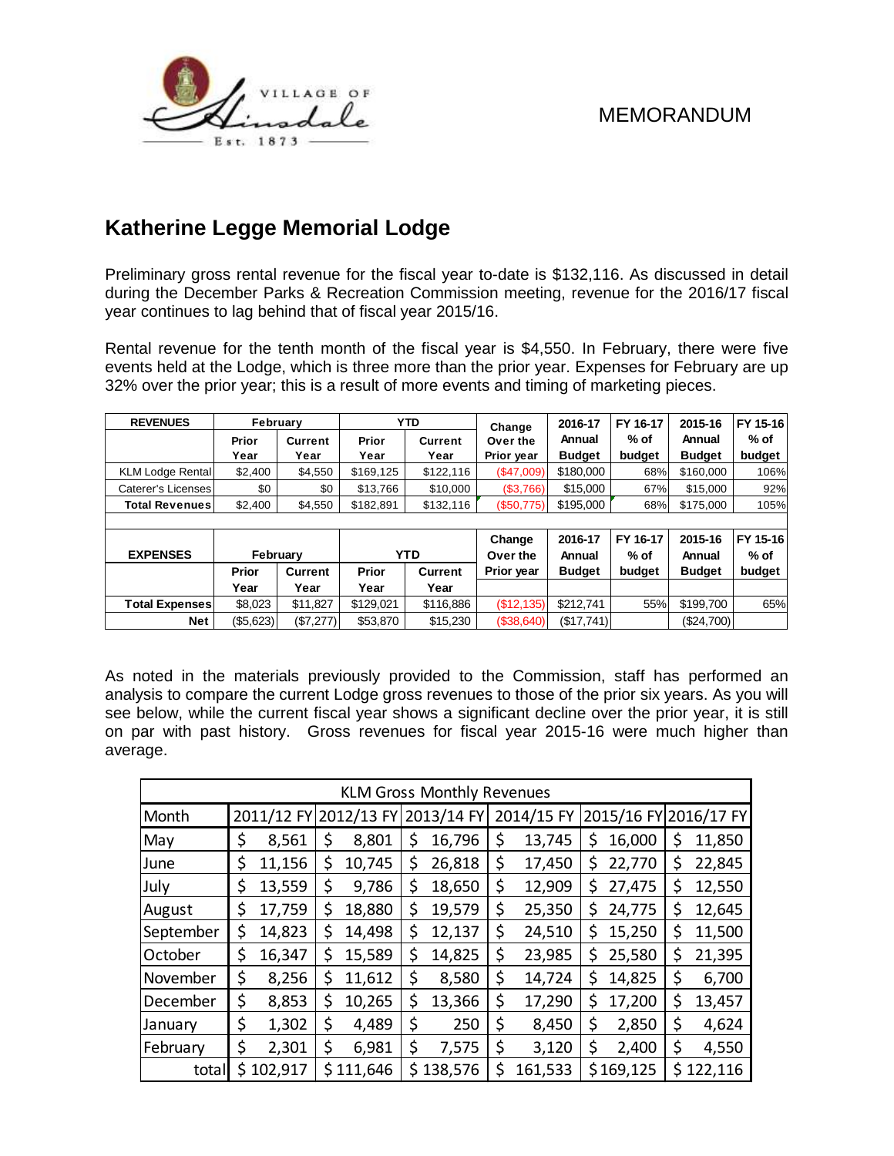

# **Katherine Legge Memorial Lodge**

Preliminary gross rental revenue for the fiscal year to-date is \$132,116. As discussed in detail during the December Parks & Recreation Commission meeting, revenue for the 2016/17 fiscal year continues to lag behind that of fiscal year 2015/16.

Rental revenue for the tenth month of the fiscal year is \$4,550. In February, there were five events held at the Lodge, which is three more than the prior year. Expenses for February are up 32% over the prior year; this is a result of more events and timing of marketing pieces.

| <b>REVENUES</b>         | February     |                |                        | <b>YTD</b>     | Change     | 2016-17       | FY 16-17 | 2015-16       | FY 15-16 |
|-------------------------|--------------|----------------|------------------------|----------------|------------|---------------|----------|---------------|----------|
|                         | Prior        | <b>Current</b> | Prior                  | <b>Current</b> | Over the   | Annual        | % of     | Annual        | $%$ of   |
|                         | Year         | Year           | Year                   | Year           | Prior year | <b>Budget</b> | budget   | <b>Budget</b> | budget   |
| <b>KLM Lodge Rental</b> | \$2,400      | \$4,550        | \$169,125<br>\$122,116 |                | (\$47,009) | \$180,000     | 68%      | \$160,000     | 106%     |
| Caterer's Licenses      | \$0          | \$0            | \$13,766               | \$10,000       | (\$3,766)  | \$15,000      | 67%      | \$15,000      | 92%      |
| <b>Total Revenues</b>   | \$2,400      | \$4,550        | \$182,891              | \$132,116      | (\$50,775) | \$195,000     | 68%      | \$175,000     | 105%     |
|                         |              |                |                        |                |            |               |          |               |          |
|                         |              |                |                        |                | Change     | 2016-17       | FY 16-17 | 2015-16       | FY 15-16 |
| <b>EXPENSES</b>         | February     |                | <b>YTD</b>             |                | Over the   | Annual        | $%$ of   | Annual        | $%$ of   |
|                         | Prior        | <b>Current</b> | <b>Prior</b>           | <b>Current</b> | Prior year | <b>Budget</b> | budget   | <b>Budget</b> | budget   |
|                         | Year         | Year           | Year                   | Year           |            |               |          |               |          |
| <b>Total Expenses</b>   | \$8,023      | \$11,827       | \$129,021              | \$116,886      | (\$12,135) | \$212,741     | 55%      | \$199,700     | 65%      |
| <b>Net</b>              | $($ \$5,623) | (\$7,277)      | \$53,870               | \$15,230       | (\$38,640) | (\$17,741)    |          | $(\$24,700)$  |          |

As noted in the materials previously provided to the Commission, staff has performed an analysis to compare the current Lodge gross revenues to those of the prior six years. As you will see below, while the current fiscal year shows a significant decline over the prior year, it is still on par with past history. Gross revenues for fiscal year 2015-16 were much higher than average.

| <b>KLM Gross Monthly Revenues</b> |           |        |                       |           |    |            |    |            |    |           |                       |         |
|-----------------------------------|-----------|--------|-----------------------|-----------|----|------------|----|------------|----|-----------|-----------------------|---------|
| Month                             |           |        | 2011/12 FY 2012/13 FY |           |    | 2013/14 FY |    | 2014/15 FY |    |           | 2015/16 FY 2016/17 FY |         |
| May                               | \$        | 8,561  |                       | 8,801     | \$ | 16,796     | \$ | 13,745     | \$ | 16,000    | \$                    | 11,850  |
| June                              | \$        | 11,156 | \$                    | 10,745    | S  | 26,818     | \$ | 17,450     | \$ | 22,770    | \$                    | 22,845  |
| July                              | \$        | 13,559 | \$                    | 9,786     | \$ | 18,650     | \$ | 12,909     | \$ | 27,475    | \$                    | 12,550  |
| August                            | \$        | 17,759 | \$                    | 18,880    | \$ | 19,579     | \$ | 25,350     | \$ | 24,775    | \$                    | 12,645  |
| September                         | \$        | 14,823 | \$                    | 14,498    | \$ | 12,137     | \$ | 24,510     | \$ | 15,250    | \$                    | 11,500  |
| October                           | \$        | 16,347 | Ś                     | 15,589    | \$ | 14,825     | \$ | 23,985     | \$ | 25,580    | \$                    | 21,395  |
| November                          | \$        | 8,256  |                       | 11,612    | \$ | 8,580      | \$ | 14,724     | \$ | 14,825    | \$                    | 6,700   |
| December                          | \$        | 8,853  | \$                    | 10,265    | \$ | 13,366     | \$ | 17,290     | \$ | 17,200    | \$                    | 13,457  |
| January                           | \$        | 1,302  | \$                    | 4,489     | \$ | 250        | \$ | 8,450      | \$ | 2,850     | \$                    | 4,624   |
| February                          | \$        | 2,301  | \$                    | 6,981     | \$ | 7,575      | \$ | 3,120      | \$ | 2,400     | \$                    | 4,550   |
| total                             | \$102,917 |        |                       | \$111,646 | \$ | 138,576    | \$ | 161,533    |    | \$169,125 | \$                    | 122,116 |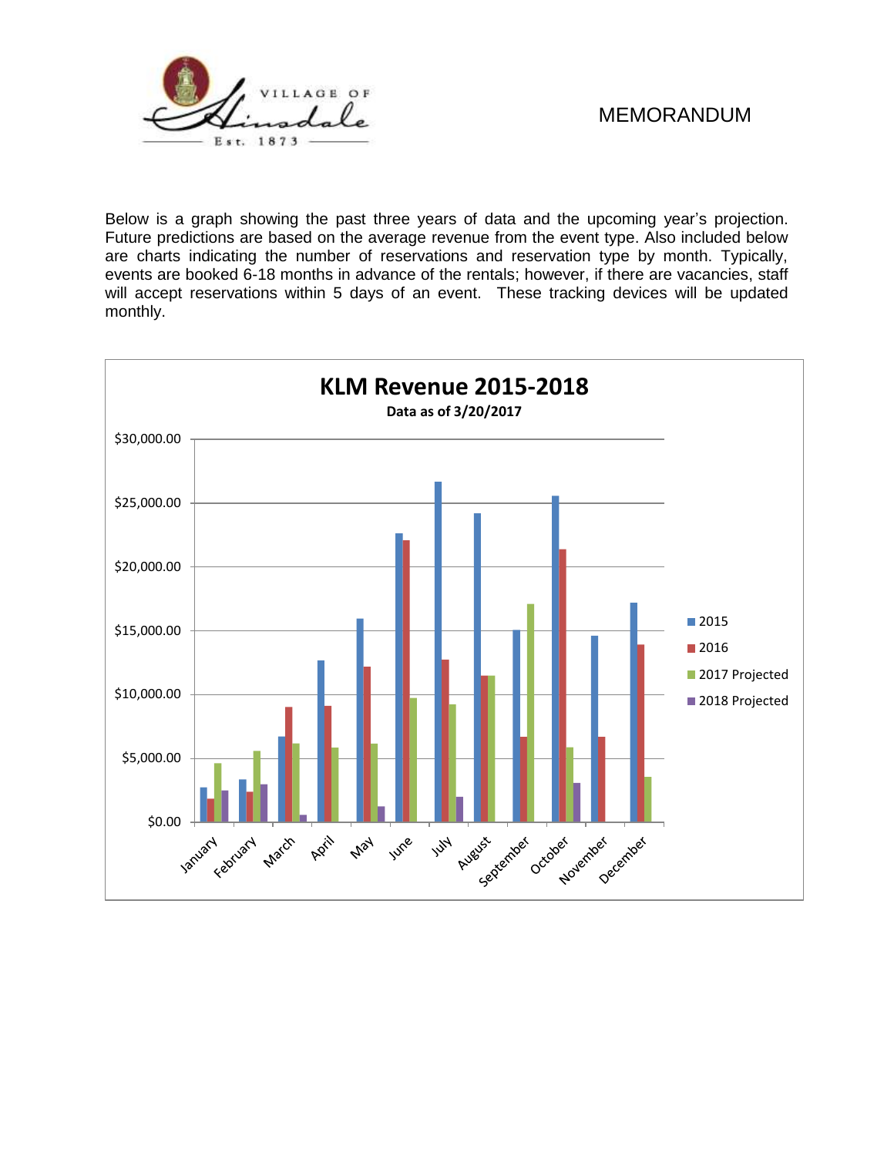

Below is a graph showing the past three years of data and the upcoming year's projection. Future predictions are based on the average revenue from the event type. Also included below are charts indicating the number of reservations and reservation type by month. Typically, events are booked 6-18 months in advance of the rentals; however, if there are vacancies, staff will accept reservations within 5 days of an event. These tracking devices will be updated monthly.

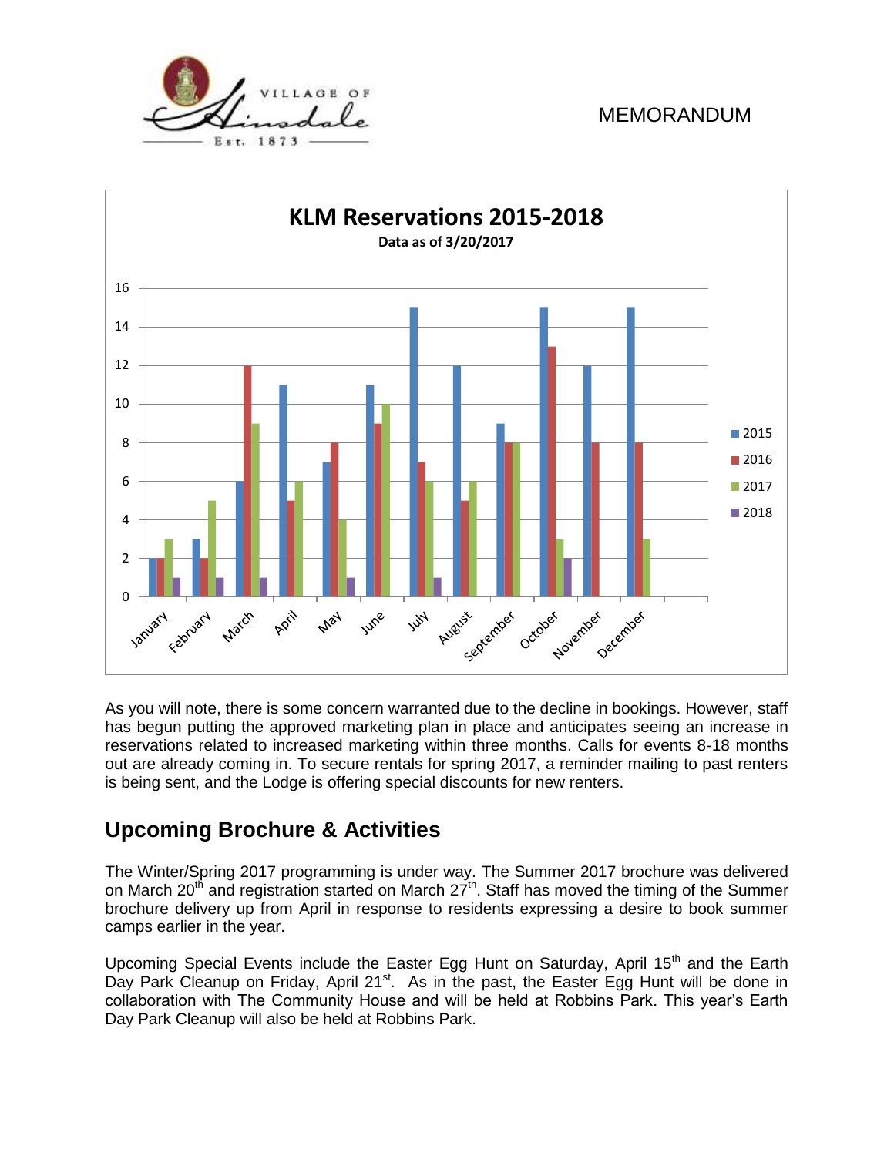



As you will note, there is some concern warranted due to the decline in bookings. However, staff has begun putting the approved marketing plan in place and anticipates seeing an increase in reservations related to increased marketing within three months. Calls for events 8-18 months out are already coming in. To secure rentals for spring 2017, a reminder mailing to past renters is being sent, and the Lodge is offering special discounts for new renters.

## **Upcoming Brochure & Activities**

The Winter/Spring 2017 programming is under way. The Summer 2017 brochure was delivered on March 20<sup>th</sup> and registration started on March  $27<sup>th</sup>$ . Staff has moved the timing of the Summer brochure delivery up from April in response to residents expressing a desire to book summer camps earlier in the year.

Upcoming Special Events include the Easter Egg Hunt on Saturday, April 15<sup>th</sup> and the Earth Day Park Cleanup on Friday, April 21<sup>st</sup>. As in the past, the Easter Egg Hunt will be done in collaboration with The Community House and will be held at Robbins Park. This year's Earth Day Park Cleanup will also be held at Robbins Park.